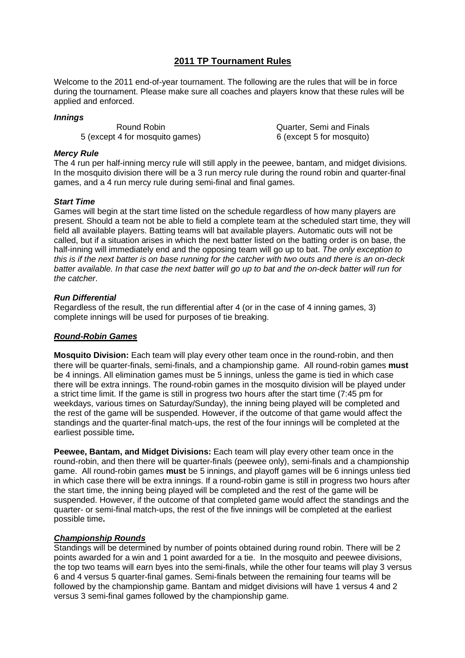# **2011 TP Tournament Rules**

Welcome to the 2011 end-of-year tournament. The following are the rules that will be in force during the tournament. Please make sure all coaches and players know that these rules will be applied and enforced.

## **Innings**

5 (except 4 for mosquito games) 6 (except 5 for mosquito)

Round Robin Quarter, Semi and Finals

## **Mercy Rule**

The 4 run per half-inning mercy rule will still apply in the peewee, bantam, and midget divisions. In the mosquito division there will be a 3 run mercy rule during the round robin and quarter-final games, and a 4 run mercy rule during semi-final and final games.

## **Start Time**

Games will begin at the start time listed on the schedule regardless of how many players are present. Should a team not be able to field a complete team at the scheduled start time, they will field all available players. Batting teams will bat available players. Automatic outs will not be called, but if a situation arises in which the next batter listed on the batting order is on base, the half-inning will immediately end and the opposing team will go up to bat. The only exception to this is if the next batter is on base running for the catcher with two outs and there is an on-deck batter available. In that case the next batter will go up to bat and the on-deck batter will run for the catcher.

## **Run Differential**

Regardless of the result, the run differential after 4 (or in the case of 4 inning games, 3) complete innings will be used for purposes of tie breaking.

## **Round-Robin Games**

**Mosquito Division:** Each team will play every other team once in the round-robin, and then there will be quarter-finals, semi-finals, and a championship game. All round-robin games **must** be 4 innings. All elimination games must be 5 innings, unless the game is tied in which case there will be extra innings. The round-robin games in the mosquito division will be played under a strict time limit. If the game is still in progress two hours after the start time (7:45 pm for weekdays, various times on Saturday/Sunday), the inning being played will be completed and the rest of the game will be suspended. However, if the outcome of that game would affect the standings and the quarter-final match-ups, the rest of the four innings will be completed at the earliest possible time**.** 

**Peewee, Bantam, and Midget Divisions:** Each team will play every other team once in the round-robin, and then there will be quarter-finals (peewee only), semi-finals and a championship game. All round-robin games **must** be 5 innings, and playoff games will be 6 innings unless tied in which case there will be extra innings. If a round-robin game is still in progress two hours after the start time, the inning being played will be completed and the rest of the game will be suspended. However, if the outcome of that completed game would affect the standings and the quarter- or semi-final match-ups, the rest of the five innings will be completed at the earliest possible time**.** 

#### **Championship Rounds**

Standings will be determined by number of points obtained during round robin. There will be 2 points awarded for a win and 1 point awarded for a tie. In the mosquito and peewee divisions, the top two teams will earn byes into the semi-finals, while the other four teams will play 3 versus 6 and 4 versus 5 quarter-final games. Semi-finals between the remaining four teams will be followed by the championship game. Bantam and midget divisions will have 1 versus 4 and 2 versus 3 semi-final games followed by the championship game.